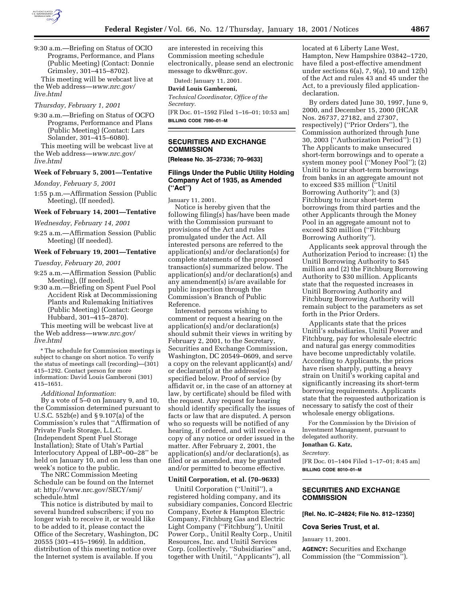

9:30 a.m.—Briefing on Status of OCIO Programs, Performance, and Plans (Public Meeting) (Contact: Donnie Grimsley, 301–415–8702).

This meeting will be webcast live at the Web address—*www.nrc.gov/ live.html*

#### *Thursday, February 1, 2001*

9:30 a.m.—Briefing on Status of OCFO Programs, Performance and Plans (Public Meeting) (Contact: Lars Solander, 301–415–6080).

This meeting will be webcast live at the Web address—*www.nrc.gov/ live.html*

#### **Week of February 5, 2001—Tentative**

*Monday, February 5, 2001*

1:55 p.m.—Affirmation Session (Public Meeting), (If needed).

### **Week of February 14, 2001—Tentative**

*Wednesday, February 14, 2001*

9:25 a.m.—Affirmation Session (Public Meeting) (If needed).

#### **Week of February 19, 2001—Tentative**

*Tuesday, February 20, 2001*

- 9:25 a.m.—Affirmation Session (Public Meeting), (If needed).
- 9:30 a.m.—Briefing on Spent Fuel Pool Accident Risk at Decommissioning Plants and Rulemaking Initiatives (Public Meeting) (Contact: George Hubbard, 301–415–2870).

This meeting will be webcast live at the Web address—*www.nrc.gov/ live.html*

\* The schedule for Commission meetings is subject to change on short notice. To verify the status of meetings call (recording)—(301) 415–1292. Contact person for more information: David Louis Gamberoni (301) 415–1651.

# *Additional Information*:

By a vote of 5–0 on January 9, and 10, the Commission determined pursuant to U.S.C. 552b(e) and § 9.107(a) of the Commission's rules that ''Affirmation of Private Fuels Storage, L.L.C. (Independent Spent Fuel Storage Installation); State of Utah's Partial Interlocutory Appeal of LBP–00–28'' be held on January 10, and on less than one week's notice to the public.

The NRC Commission Meeting Schedule can be found on the Internet at: http://www.nrc.gov/SECY/smj/ schedule.html

This notice is distributed by mail to several hundred subscribers; if you no longer wish to receive it, or would like to be added to it, please contact the Office of the Secretary, Washington, DC 20555 (301–415–1969). In addition, distribution of this meeting notice over the Internet system is available. If you

are interested in receiving this Commission meeting schedule electronically, please send an electronic message to dkw@nrc.gov.

Dated: January 11, 2001.

### **David Louis Gamberoni,**

*Technical Coordinator, Office of the Secretary.*

[FR Doc. 01–1592 Filed 1–16–01; 10:53 am] **BILLING CODE 7590–01–M**

### **SECURITIES AND EXCHANGE COMMISSION**

**[Release No. 35–27336; 70–9633]**

# **Filings Under the Public Utility Holding Company Act of 1935, as Amended (''Act'')**

January 11, 2001.

Notice is hereby given that the following filing(s) has/have been made with the Commission pursuant to provisions of the Act and rules promulgated under the Act. All interested persons are referred to the application(s) and/or declaration(s) for complete statements of the proposed transaction(s) summarized below. The application(s) and/or declaration(s) and any amendment(s) is/are available for public inspection through the Commission's Branch of Public Reference.

Interested persons wishing to comment or request a hearing on the application(s) and/or declaration(s) should submit their views in writing by February 2, 2001, to the Secretary, Securities and Exchange Commission, Washington, DC 20549–0609, and serve a copy on the relevant applicant(s) and/ or declarant(s) at the address(es) specified below. Proof of service (by affidavit or, in the case of an attorney at law, by certificate) should be filed with the request. Any request for hearing should identify specifically the issues of facts or law that are disputed. A person who so requests will be notified of any hearing, if ordered, and will receive a copy of any notice or order issued in the matter. After February 2, 2001, the application(s) and/or declaration(s), as filed or as amended, may be granted and/or permitted to become effective.

#### **Unitil Corporation, et al. (70–9633)**

Unitil Corporation (''Unitil''), a registered holding company, and its subsidiary companies, Concord Electric Company, Exeter & Hampton Electric Company, Fitchburg Gas and Electric Light Company (''Fitchburg''), Unitil Power Corp., Unitil Realty Corp., Unitil Resources, Inc. and Unitil Services Corp. (collectively, ''Subsidiaries'' and, together with Unitil, ''Applicants''), all

located at 6 Liberty Lane West, Hampton, New Hampshire 03842–1720, have filed a post-effective amendment under sections 6(a), 7, 9(a), 10 and 12(b) of the Act and rules 43 and 45 under the Act, to a previously filed applicationdeclaration.

By orders dated June 30, 1997, June 9, 2000, and December 15, 2000 (HCAR Nos. 26737, 27182, and 27307, respectively) (''Prior Orders''), the Commission authorized through June 30, 2003 (''Authorization Period''): (1) The Applicants to make unsecured short-term borrowings and to operate a system money pool (''Money Pool''); (2) Unitil to incur short-term borrowings from banks in an aggregate amount not to exceed \$35 million (''Unitil Borrowing Authority''); and (3) Fitchburg to incur short-term borrowings from third parties and the other Applicants through the Money Pool in an aggregate amount not to exceed \$20 million (''Fitchburg Borrowing Authority'').

Applicants seek approval through the Authorization Period to increase: (1) the Unitil Borrowing Authority to \$45 million and (2) the Fitchburg Borrowing Authority to \$30 million. Applicants state that the requested increases in Unitil Borrowing Authority and Fitchburg Borrowing Authority will remain subject to the parameters as set forth in the Prior Orders.

Applicants state that the prices Unitil's subsidiaries, Unitil Power and Fitchburg, pay for wholesale electric and natural gas energy commodities have become unpredictably volatile. According to Applicants, the prices have risen sharply, putting a heavy strain on Unitil's working capital and significantly increasing its short-term borrowing requirements. Applicants state that the requested authorization is necessary to satisfy the cost of their wholesale energy obligations.

For the Commission by the Division of Investment Management, pursuant to delegated authority.

#### **Jonathan G. Katz,**

*Secretary.*

[FR Doc. 01–1404 Filed 1–17–01; 8:45 am] **BILLING CODE 8010–01–M**

# **SECURITIES AND EXCHANGE COMMISSION**

**[Rel. No. IC–24824; File No. 812–12350]**

### **Cova Series Trust, et al.**

January 11, 2001.

**AGENCY:** Securities and Exchange Commission (the ''Commission'').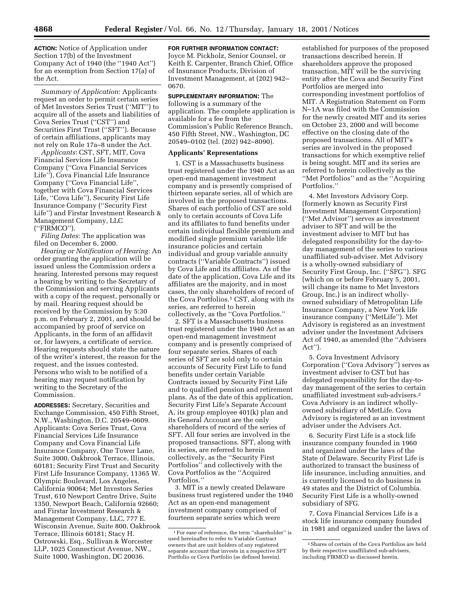**ACTION:** Notice of Application under Section 17(b) of the Investment Company Act of 1940 (the ''1940 Act'') for an exemption from Section 17(a) of the Act.

*Summary of Application*: Applicants request an order to permit certain series of Met Investors Series Trust (''MIT'') to acquire all of the assets and liabilities of Cova Series Trust (''CST'') and Securities First Trust (''SFT''). Because of certain affiliations, applicants may not rely on Rule 17a–8 under the Act.

*Applicants*: CST, SFT, MIT, Cova Financial Services Life Insurance Company (''Cova Financial Services Life''), Cova Financial Life Insurance Company (''Cova Financial Life'', together with Cova Financial Services Life, ''Cova Life''), Security First Life Insurance Company (''Security First Life'') and Firstar Investment Research & Management Company, LLC (''FIRMCO'').

*Filing Dates*: The application was filed on December 6, 2000.

*Hearing or Notification of Hearing:* An order granting the application will be issued unless the Commission orders a hearing. Interested persons may request a hearing by writing to the Secretary of the Commission and serving Applicants with a copy of the request, personally or by mail. Hearing request should be received by the Commission by 5:30 p.m. on February 2, 2001, and should be accompanied by proof of service on Applicants, in the form of an affidavit or, for lawyers, a certificate of service. Hearing requests should state the nature of the writer's interest, the reason for the request, and the issues contested. Persons who wish to be notified of a hearing may request notification by writing to the Secretary of the Commission.

**ADDRESSES:** Secretary, Securities and Exchange Commission, 450 Fifth Street, N.W., Washington, D.C. 20549–0609. Applicants: Cova Series Trust, Cova Financial Services Life Insurance Company and Cova Financial Life Insurance Company, One Tower Lane, Suite 3000, Oakbrook Terrace, Illinois, 60181; Security First Trust and Security First Life Insurance Company, 11365 W. Olympic Boulevard, Los Angeles, California 90064; Met Investors Series Trust, 610 Newport Centre Drive, Suite 1350, Newport Beach, California 92660; and Firstar Investment Research & Management Company, LLC, 777 E. Wisconsin Avenue, Suite 800, Oakbrook Terrace, Illinois 60181; Stacy H. Ostrowski, Esq., Sullivan & Worcester LLP, 1025 Connecticut Avenue, NW., Suite 1000, Washington, DC 20036.

### **FOR FURTHER INFORMATION CONTACT:**

Joyce M. Pickholz, Senior Counsel, or Keith E. Carpenter, Branch Chief, Office of Insurance Products, Division of Investment Management, at (202) 942– 0670.

# **SUPPLEMENTARY INFORMATION:** The

following is a summary of the application. The complete application is available for a fee from the Commission's Public Reference Branch, 450 Fifth Street, NW., Washington, DC 20549–0102 (tel. (202) 942–8090).

### **Applicants' Representations**

1. CST is a Massachusetts business trust registered under the 1940 Act as an open-end management investment company and is presently comprised of thirteen separate series, all of which are involved in the proposed transactions. Shares of each portfolio of CST are sold only to certain accounts of Cova Life and its affiliates to fund benefits under certain individual flexible premium and modified single premium variable life insurance policies and certain individual and group variable annuity contracts (''Variable Contracts'') issued by Cova Life and its affiliates. As of the date of the application, Cova Life and its affiliates are the majority, and in most cases, the only shareholders of record of the Cova Portfolios.1 CST, along with its series, are referred to herein collectively, as the ''Cova Portfolios.''

2. SFT is a Massachusetts business trust registered under the 1940 Act as an open-end management investment company and is presently comprised of four separate series. Shares of each series of SFT are sold only to certain accounts of Security First Life to fund benefits under certain Variable Contracts issued by Security First Life and to qualified pension and retirement plans. As of the date of this application, Security First Life's Separate Account A, its group employee 401(k) plan and its General Account are the only shareholders of record of the series of SFT. All four series are involved in the proposed transactions. SFT, along with its series, are referred to herein collectively, as the ''Security First Portfolios'' and collectively with the Cova Portfolios as the ''Acquired Portfolios.''

3. MIT is a newly created Delaware business trust registered under the 1940 Act as an open-end management investment company comprised of fourteen separate series which were

established for purposes of the proposed transactions described herein. If shareholders approve the proposed transaction, MIT will be the surviving entity after the Cova and Security First Portfolios are merged into corresponding investment portfolios of MIT. A Registration Statement on Form N–1A was filed with the Commission for the newly created MIT and its series on October 23, 2000 and will become effective on the closing date of the proposed transactions. All of MIT's series are involved in the proposed transactions for which exemptive relief is being sought. MIT and its series are referred to herein collectively as the ''Met Portfolios'' and as the ''Acquiring Portfolios.''

4. Met Investors Advisory Corp. (formerly known as Security First Investment Management Corporation) (''Met Advisor'') serves as investment adviser to SFT and will be the investment adviser to MIT but has delegated responsibility for the day-today management of the series to various unaffiliated sub-adviser. Met Advisory is a wholly-owned subsidiary of Security First Group, Inc. (''SFG''). SFG (which on or before February 5, 2001, will change its name to Met Investors Group, Inc.) is an indirect whollyowned subsidiary of Metropolitan Life Insurance Company, a New York life insurance company (''MetLife''). Met Advisory is registered as an investment adviser under the Investment Advisers Act of 1940, as amended (the ''Advisers Act'').

5. Cova Investment Advisory Corporation (''Cova Advisory'') serves as investment adviser to CST but has delegated responsibility for the day-today management of the series to certain unaffiliated investment sub-advisers.2 Cova Advisory is an indirect whollyowned subsidiary of MetLife. Cova Advisory is registered as an investment adviser under the Advisers Act.

6. Security First Life is a stock life insurance company founded in 1960 and organized under the laws of the State of Delaware. Security First Life is authorized to transact the business of life insurance, including annuities, and is currently licensed to do business in 49 states and the District of Columbia. Security First Life is a wholly-owned subsidiary of SFG.

7. Cova Financial Services Life is a stock life insurance company founded in 1981 and organized under the laws of

 $^{\rm 1}\rm{For}$ ease of reference, the term ''shareholder'' is used hereinafter to refer to Variable Contract owners that are unit holders of any registered separate account that invests in a respective SFT Portfolio or Cova Portfolio (as defined herein).

<sup>2</sup>Shares of certain of the Cova Portfolios are held by their respective unaffiliated sub-advisers, including FIRMCO as discussed herein.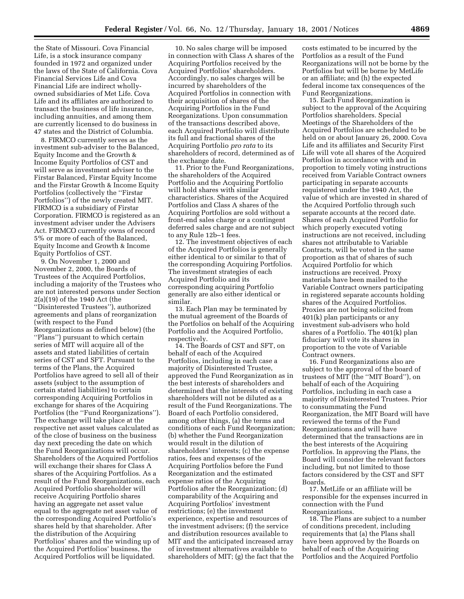the State of Missouri. Cova Financial Life, is a stock insurance company founded in 1972 and organized under the laws of the State of California. Cova Financial Services Life and Cova Financial Life are indirect whollyowned subsidiaries of Met Life. Cova Life and its affiliates are authorized to transact the business of life insurance, including annuities, and among them are currently licensed to do business in 47 states and the District of Columbia.

8. FIRMCO currently serves as the investment sub-adviser to the Balanced, Equity Income and the Growth & Income Equity Portfolios of CST and will serve as investment adviser to the Firstar Balanced, Firstar Equity Income and the Firstar Growth & Income Equity Portfolios (collectively the ''Firstar Portfolios'') of the newly created MIT. FIRMCO is a subsidiary of Firstar Corporation. FIRMCO is registered as an investment adviser under the Advisers Act. FIRMCO currently owns of record 5% or more of each of the Balanced, Equity Income and Growth & Income Equity Portfolios of CST.

9. On November 1, 2000 and November 2, 2000, the Boards of Trustees of the Acquired Portfolios, including a majority of the Trustees who are not interested persons under Section 2(a)(19) of the 1940 Act (the ''Disinterested Trustees''), authorized agreements and plans of reorganization (with respect to the Fund Reorganizations as defined below) (the ''Plans'') pursuant to which certain series of MIT will acquire all of the assets and stated liabilities of certain series of CST and SFT. Pursuant to the terms of the Plans, the Acquired Portfolios have agreed to sell all of their assets (subject to the assumption of certain stated liabilities) to certain corresponding Acquiring Portfolios in exchange for shares of the Acquiring Portfolios (the ''Fund Reorganizations''). The exchange will take place at the respective net asset values calculated as of the close of business on the business day next preceding the date on which the Fund Reorganizations will occur. Shareholders of the Acquired Portfolios will exchange their shares for Class A shares of the Acquiring Portfolios. As a result of the Fund Reorganizations, each Acquired Portfolio shareholder will receive Acquiring Portfolio shares having an aggregate net asset value equal to the aggregate net asset value of the corresponding Acquired Portfolio's shares held by that shareholder. After the distribution of the Acquiring Portfolios' shares and the winding up of the Acquired Portfolios' business, the Acquired Portfolios will be liquidated.

10. No sales charge will be imposed in connection with Class A shares of the Acquiring Portfolios received by the Acquired Portfolios' shareholders. Accordingly, no sales charges will be incurred by shareholders of the Acquired Portfolios in connection with their acquisition of shares of the Acquiring Portfolios in the Fund Reorganizations. Upon consummation of the transactions described above, each Acquired Portfolio will distribute its full and fractional shares of the Acquiring Portfolio *pro rata* to its shareholders of record, determined as of the exchange date.

11. Prior to the Fund Reorganizations, the shareholders of the Acquired Portfolio and the Acquiring Portfolio will hold shares with similar characteristics. Shares of the Acquired Portfolios and Class A shares of the Acquiring Portfolios are sold without a front-end sales charge or a contingent deferred sales charge and are not subject to any Rule 12b–1 fees.

12. The investment objectives of each of the Acquired Portfolios is generally either identical to or similar to that of the corresponding Acquiring Portfolios. The investment strategies of each Acquired Portfolio and its corresponding acquiring Portfolio generally are also either identical or similar.

13. Each Plan may be terminated by the mutual agreement of the Boards of the Portfolios on behalf of the Acquiring Portfolio and the Acquired Portfolio, respectively.

14. The Boards of CST and SFT, on behalf of each of the Acquired Portfolios, including in each case a majority of Disinterested Trustee, approved the Fund Reorganization as in the best interests of shareholders and determined that the interests of existing shareholders will not be diluted as a result of the Fund Reorganizations. The Board of each Portfolio considered, among other things, (a) the terms and conditions of each Fund Reorganization; (b) whether the Fund Reorganization would result in the dilution of shareholders' interests; (c) the expense ratios, fees and expenses of the Acquiring Portfolios before the Fund Reorganization and the estimated expense ratios of the Acquiring Portfolios after the Reorganization; (d) comparability of the Acquiring and Acquiring Portfolios' investment restrictions; (e) the investment experience, expertise and resources of the investment advisers; (f) the service and distribution resources available to MIT and the anticipated increased array of investment alternatives available to shareholders of MIT; (g) the fact that the

costs estimated to be incurred by the Portfolios as a result of the Fund Reorganizations will not be borne by the Portfolios but will be borne by MetLife or an affiliate; and (h) the expected federal income tax consequences of the Fund Reorganizations.

15. Each Fund Reorganization is subject to the approval of the Acquiring Portfolios shareholders. Special Meetings of the Shareholders of the Acquired Portfolios are scheduled to be held on or about January 26, 2000. Cova Life and its affiliates and Security First Life will vote all shares of the Acquired Portfolios in accordance with and in proportion to timely voting instructions received from Variable Contract owners participating in separate accounts requistered under the 1940 Act, the value of which are invested in shared of the Acquired Portfolio through such separate accounts at the record date. Shares of each Acquired Portfolio for which properly executed voting instructions are not received, including shares not attributable to Variable Contracts, will be voted in the same proportion as that of shares of such Acquired Portfolio for which instructions are received. Proxy materials have been mailed to the Variable Contract owners participating in registered separate accounts holding shares of the Acquired Portfolios. Proxies are not being solicited from 401(k) plan participants or any investment sub-advisers who hold shares of a Portfolio. The 401(k) plan fiduciary will vote its shares in proportion to the vote of Variable Contract owners.

16. Fund Reorganizations also are subject to the approval of the board of trustees of MIT (the ''MIT Board''), on behalf of each of the Acquiring Portfolios, including in each case a majority of Disinterested Trustees. Prior to consummating the Fund Reorganization, the MIT Board will have reviewed the terms of the Fund Reorganizations and will have determined that the transactions are in the best interests of the Acquiring Portfolios. In approving the Plans, the Board will consider the relevant factors including, but not limited to those factors considered by the CST and SFT Boards.

17. MetLife or an affiliate will be responsible for the expenses incurred in connection with the Fund Reorganizations.

18. The Plans are subject to a number of conditions precedent, including requirements that (a) the Plans shall have been approved by the Boards on behalf of each of the Acquiring Portfolios and the Acquired Portfolio